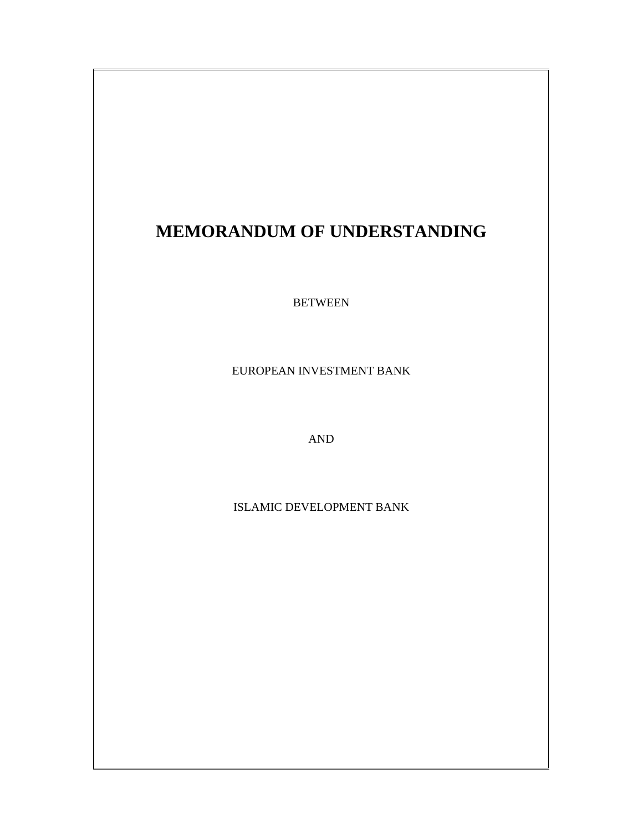# **MEMORANDUM OF UNDERSTANDING**

BETWEEN

EUROPEAN INVESTMENT BANK

AND

ISLAMIC DEVELOPMENT BANK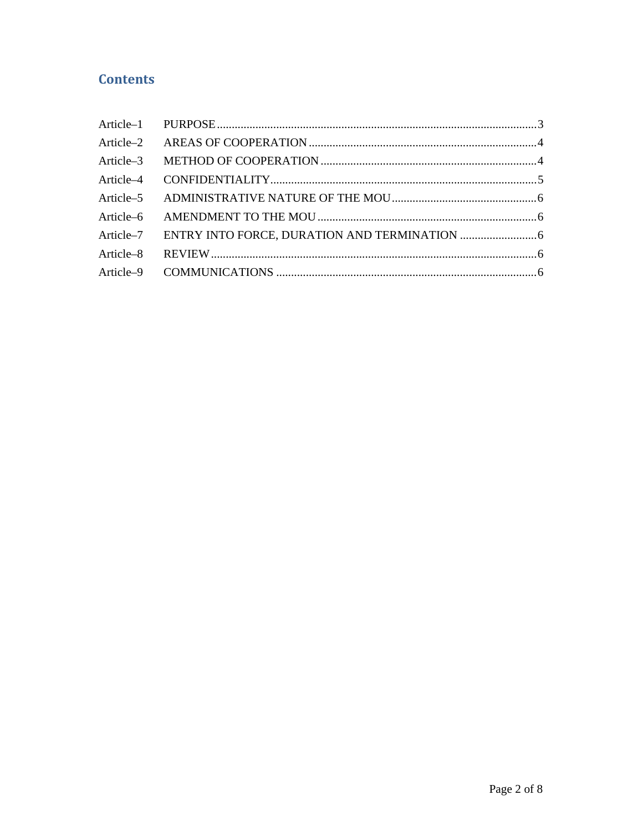# **Contents**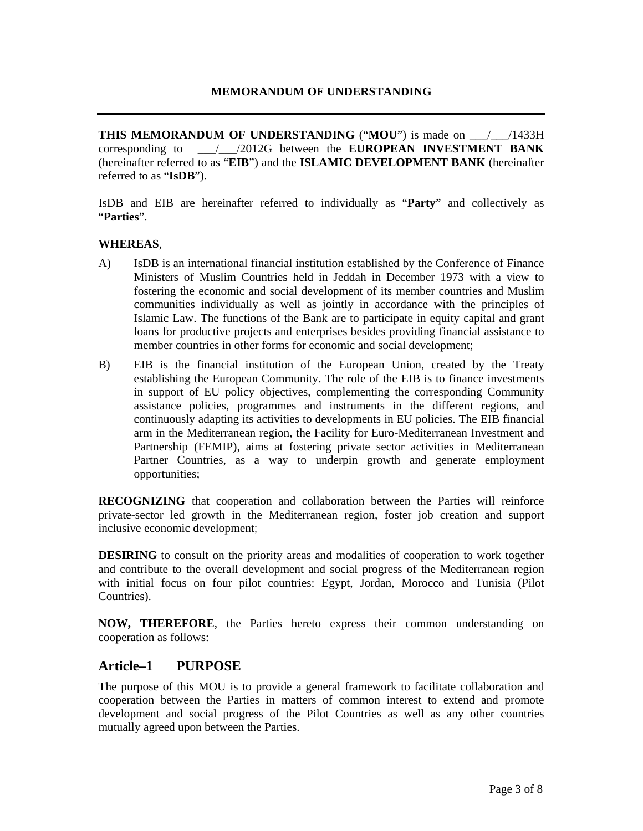**THIS MEMORANDUM OF UNDERSTANDING** ("MOU") is made on \_\_\_\_\_\_\_/1433H corresponding to \_\_\_/\_\_\_/2012G between the **EUROPEAN INVESTMENT BANK**  (hereinafter referred to as "**EIB**") and the **ISLAMIC DEVELOPMENT BANK** (hereinafter referred to as "**IsDB**").

IsDB and EIB are hereinafter referred to individually as "**Party**" and collectively as "**Parties**".

#### **WHEREAS**,

- A) IsDB is an international financial institution established by the Conference of Finance Ministers of Muslim Countries held in Jeddah in December 1973 with a view to fostering the economic and social development of its member countries and Muslim communities individually as well as jointly in accordance with the principles of Islamic Law. The functions of the Bank are to participate in equity capital and grant loans for productive projects and enterprises besides providing financial assistance to member countries in other forms for economic and social development;
- B) EIB is the financial institution of the European Union, created by the Treaty establishing the European Community. The role of the EIB is to finance investments in support of EU policy objectives, complementing the corresponding Community assistance policies, programmes and instruments in the different regions, and continuously adapting its activities to developments in EU policies. The EIB financial arm in the Mediterranean region, the Facility for Euro-Mediterranean Investment and Partnership (FEMIP), aims at fostering private sector activities in Mediterranean Partner Countries, as a way to underpin growth and generate employment opportunities;

**RECOGNIZING** that cooperation and collaboration between the Parties will reinforce private-sector led growth in the Mediterranean region, foster job creation and support inclusive economic development;

**DESIRING** to consult on the priority areas and modalities of cooperation to work together and contribute to the overall development and social progress of the Mediterranean region with initial focus on four pilot countries: Egypt, Jordan, Morocco and Tunisia (Pilot Countries).

**NOW, THEREFORE**, the Parties hereto express their common understanding on cooperation as follows:

#### **Article–1 PURPOSE**

The purpose of this MOU is to provide a general framework to facilitate collaboration and cooperation between the Parties in matters of common interest to extend and promote development and social progress of the Pilot Countries as well as any other countries mutually agreed upon between the Parties.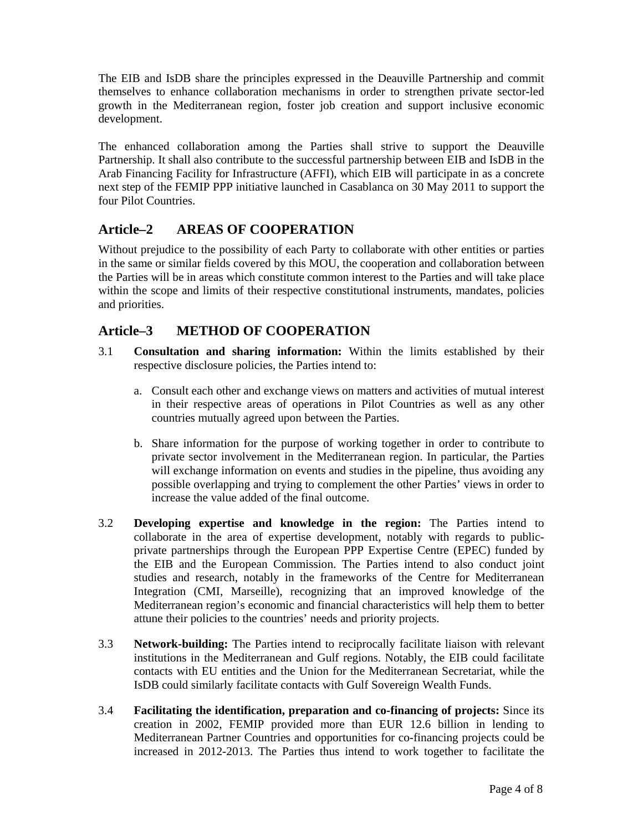The EIB and IsDB share the principles expressed in the Deauville Partnership and commit themselves to enhance collaboration mechanisms in order to strengthen private sector-led growth in the Mediterranean region, foster job creation and support inclusive economic development.

The enhanced collaboration among the Parties shall strive to support the Deauville Partnership. It shall also contribute to the successful partnership between EIB and IsDB in the Arab Financing Facility for Infrastructure (AFFI), which EIB will participate in as a concrete next step of the FEMIP PPP initiative launched in Casablanca on 30 May 2011 to support the four Pilot Countries.

## **Article–2 AREAS OF COOPERATION**

Without prejudice to the possibility of each Party to collaborate with other entities or parties in the same or similar fields covered by this MOU, the cooperation and collaboration between the Parties will be in areas which constitute common interest to the Parties and will take place within the scope and limits of their respective constitutional instruments, mandates, policies and priorities.

## **Article–3 METHOD OF COOPERATION**

- 3.1 **Consultation and sharing information:** Within the limits established by their respective disclosure policies, the Parties intend to:
	- a. Consult each other and exchange views on matters and activities of mutual interest in their respective areas of operations in Pilot Countries as well as any other countries mutually agreed upon between the Parties.
	- b. Share information for the purpose of working together in order to contribute to private sector involvement in the Mediterranean region. In particular, the Parties will exchange information on events and studies in the pipeline, thus avoiding any possible overlapping and trying to complement the other Parties' views in order to increase the value added of the final outcome.
- 3.2 **Developing expertise and knowledge in the region:** The Parties intend to collaborate in the area of expertise development, notably with regards to publicprivate partnerships through the European PPP Expertise Centre (EPEC) funded by the EIB and the European Commission. The Parties intend to also conduct joint studies and research, notably in the frameworks of the Centre for Mediterranean Integration (CMI, Marseille), recognizing that an improved knowledge of the Mediterranean region's economic and financial characteristics will help them to better attune their policies to the countries' needs and priority projects.
- 3.3 **Network-building:** The Parties intend to reciprocally facilitate liaison with relevant institutions in the Mediterranean and Gulf regions. Notably, the EIB could facilitate contacts with EU entities and the Union for the Mediterranean Secretariat, while the IsDB could similarly facilitate contacts with Gulf Sovereign Wealth Funds.
- 3.4 **Facilitating the identification, preparation and co-financing of projects:** Since its creation in 2002, FEMIP provided more than EUR 12.6 billion in lending to Mediterranean Partner Countries and opportunities for co-financing projects could be increased in 2012-2013. The Parties thus intend to work together to facilitate the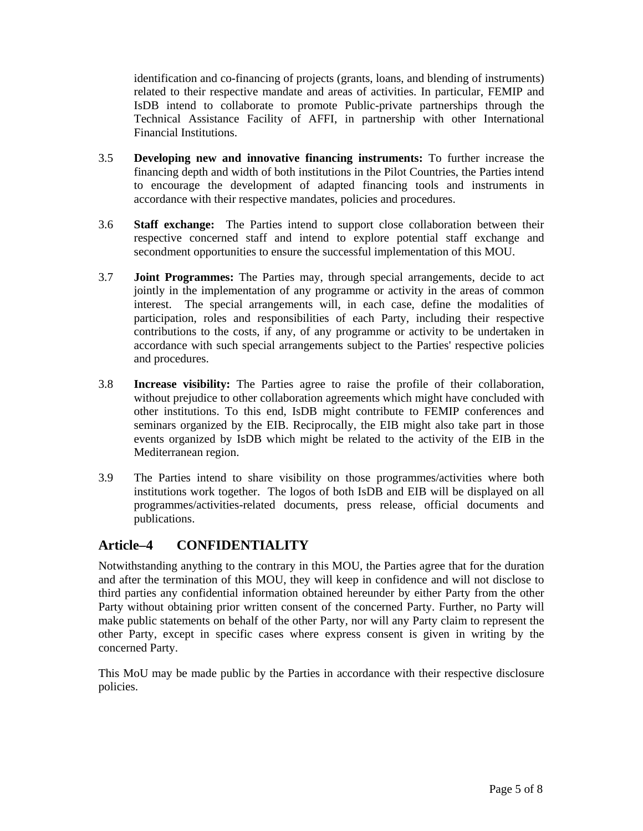identification and co-financing of projects (grants, loans, and blending of instruments) related to their respective mandate and areas of activities. In particular, FEMIP and IsDB intend to collaborate to promote Public-private partnerships through the Technical Assistance Facility of AFFI, in partnership with other International Financial Institutions.

- 3.5 **Developing new and innovative financing instruments:** To further increase the financing depth and width of both institutions in the Pilot Countries, the Parties intend to encourage the development of adapted financing tools and instruments in accordance with their respective mandates, policies and procedures.
- 3.6 **Staff exchange:** The Parties intend to support close collaboration between their respective concerned staff and intend to explore potential staff exchange and secondment opportunities to ensure the successful implementation of this MOU.
- 3.7 **Joint Programmes:** The Parties may, through special arrangements, decide to act jointly in the implementation of any programme or activity in the areas of common interest. The special arrangements will, in each case, define the modalities of participation, roles and responsibilities of each Party, including their respective contributions to the costs, if any, of any programme or activity to be undertaken in accordance with such special arrangements subject to the Parties' respective policies and procedures.
- 3.8 **Increase visibility:** The Parties agree to raise the profile of their collaboration, without prejudice to other collaboration agreements which might have concluded with other institutions. To this end, IsDB might contribute to FEMIP conferences and seminars organized by the EIB. Reciprocally, the EIB might also take part in those events organized by IsDB which might be related to the activity of the EIB in the Mediterranean region.
- 3.9 The Parties intend to share visibility on those programmes/activities where both institutions work together. The logos of both IsDB and EIB will be displayed on all programmes/activities-related documents, press release, official documents and publications.

## **Article–4 CONFIDENTIALITY**

Notwithstanding anything to the contrary in this MOU, the Parties agree that for the duration and after the termination of this MOU, they will keep in confidence and will not disclose to third parties any confidential information obtained hereunder by either Party from the other Party without obtaining prior written consent of the concerned Party. Further, no Party will make public statements on behalf of the other Party, nor will any Party claim to represent the other Party, except in specific cases where express consent is given in writing by the concerned Party.

This MoU may be made public by the Parties in accordance with their respective disclosure policies.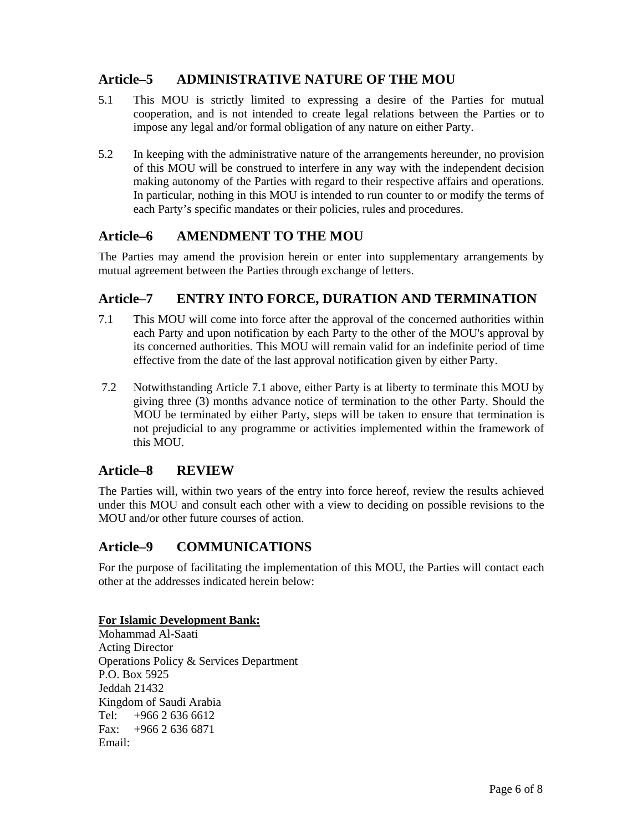## **Article–5 ADMINISTRATIVE NATURE OF THE MOU**

- 5.1 This MOU is strictly limited to expressing a desire of the Parties for mutual cooperation, and is not intended to create legal relations between the Parties or to impose any legal and/or formal obligation of any nature on either Party.
- 5.2 In keeping with the administrative nature of the arrangements hereunder, no provision of this MOU will be construed to interfere in any way with the independent decision making autonomy of the Parties with regard to their respective affairs and operations. In particular, nothing in this MOU is intended to run counter to or modify the terms of each Party's specific mandates or their policies, rules and procedures.

## **Article–6 AMENDMENT TO THE MOU**

The Parties may amend the provision herein or enter into supplementary arrangements by mutual agreement between the Parties through exchange of letters.

### **Article–7 ENTRY INTO FORCE, DURATION AND TERMINATION**

- 7.1 This MOU will come into force after the approval of the concerned authorities within each Party and upon notification by each Party to the other of the MOU's approval by its concerned authorities. This MOU will remain valid for an indefinite period of time effective from the date of the last approval notification given by either Party.
- 7.2 Notwithstanding Article 7.1 above, either Party is at liberty to terminate this MOU by giving three (3) months advance notice of termination to the other Party. Should the MOU be terminated by either Party, steps will be taken to ensure that termination is not prejudicial to any programme or activities implemented within the framework of this MOU.

## **Article–8 REVIEW**

The Parties will, within two years of the entry into force hereof, review the results achieved under this MOU and consult each other with a view to deciding on possible revisions to the MOU and/or other future courses of action.

## **Article–9 COMMUNICATIONS**

For the purpose of facilitating the implementation of this MOU, the Parties will contact each other at the addresses indicated herein below:

#### **For Islamic Development Bank:**

Mohammad Al-Saati Acting Director Operations Policy & Services Department P.O. Box 5925 Jeddah 21432 Kingdom of Saudi Arabia Tel: +966 2 636 6612 Fax:  $+96626366871$ Email: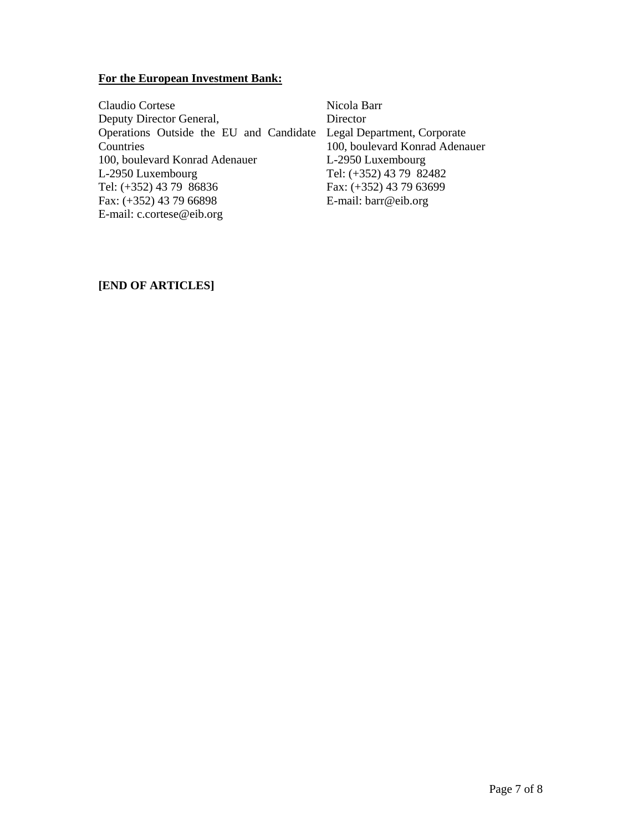#### **For the European Investment Bank:**

Claudio Cortese Deputy Director General, Operations Outside the EU and Candidate Legal Department, Corporate **Countries** 100, boulevard Konrad Adenauer L-2950 Luxembourg Tel: (+352) 43 79 86836 Fax: (+352) 43 79 66898 E-mail: c.cortese@eib.org **Director** 

Nicola Barr 100, boulevard Konrad Adenauer L-2950 Luxembourg Tel: (+352) 43 79 82482 Fax: (+352) 43 79 63699 E-mail: barr@eib.org

#### **[END OF ARTICLES]**